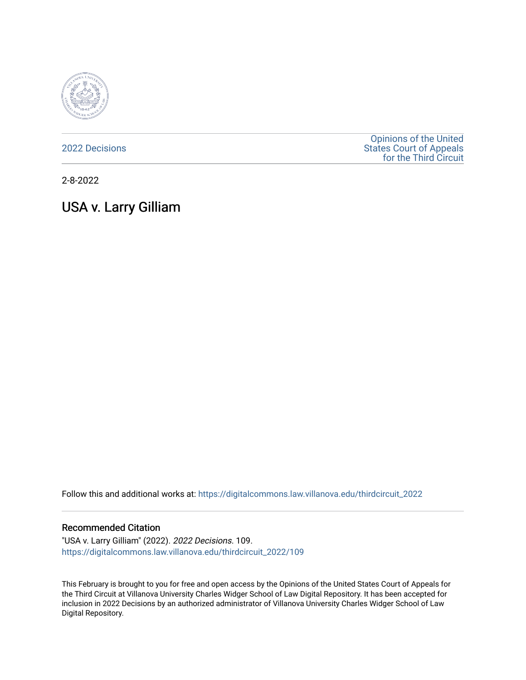

[2022 Decisions](https://digitalcommons.law.villanova.edu/thirdcircuit_2022)

[Opinions of the United](https://digitalcommons.law.villanova.edu/thirdcircuit)  [States Court of Appeals](https://digitalcommons.law.villanova.edu/thirdcircuit)  [for the Third Circuit](https://digitalcommons.law.villanova.edu/thirdcircuit) 

2-8-2022

# USA v. Larry Gilliam

Follow this and additional works at: [https://digitalcommons.law.villanova.edu/thirdcircuit\\_2022](https://digitalcommons.law.villanova.edu/thirdcircuit_2022?utm_source=digitalcommons.law.villanova.edu%2Fthirdcircuit_2022%2F109&utm_medium=PDF&utm_campaign=PDFCoverPages) 

#### Recommended Citation

"USA v. Larry Gilliam" (2022). 2022 Decisions. 109. [https://digitalcommons.law.villanova.edu/thirdcircuit\\_2022/109](https://digitalcommons.law.villanova.edu/thirdcircuit_2022/109?utm_source=digitalcommons.law.villanova.edu%2Fthirdcircuit_2022%2F109&utm_medium=PDF&utm_campaign=PDFCoverPages)

This February is brought to you for free and open access by the Opinions of the United States Court of Appeals for the Third Circuit at Villanova University Charles Widger School of Law Digital Repository. It has been accepted for inclusion in 2022 Decisions by an authorized administrator of Villanova University Charles Widger School of Law Digital Repository.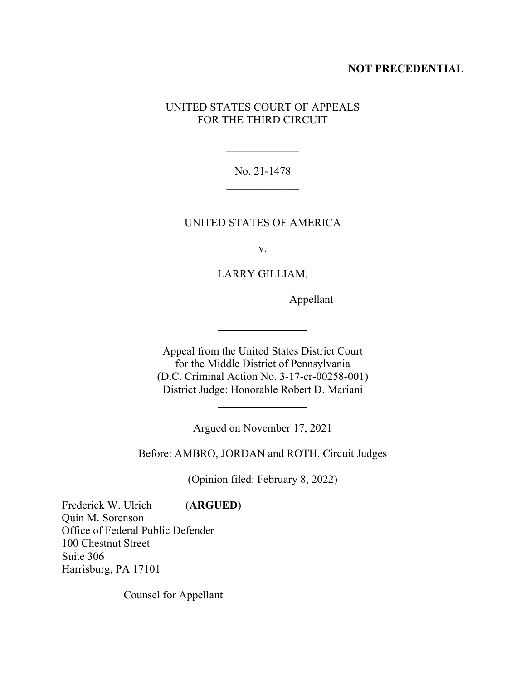## **NOT PRECEDENTIAL**

# UNITED STATES COURT OF APPEALS FOR THE THIRD CIRCUIT

# No. 21-1478  $\overline{\phantom{a}}$  , where  $\overline{\phantom{a}}$

 $\frac{1}{2}$ 

## UNITED STATES OF AMERICA

v.

## LARRY GILLIAM,

Appellant

Appeal from the United States District Court for the Middle District of Pennsylvania (D.C. Criminal Action No. 3-17-cr-00258-001) District Judge: Honorable Robert D. Mariani

Argued on November 17, 2021

 $\overline{\phantom{a}}$  , where  $\overline{\phantom{a}}$ 

Before: AMBRO, JORDAN and ROTH, Circuit Judges

(Opinion filed: February 8, 2022)

Frederick W. Ulrich (**ARGUED**) Quin M. Sorenson Office of Federal Public Defender 100 Chestnut Street Suite 306 Harrisburg, PA 17101

Counsel for Appellant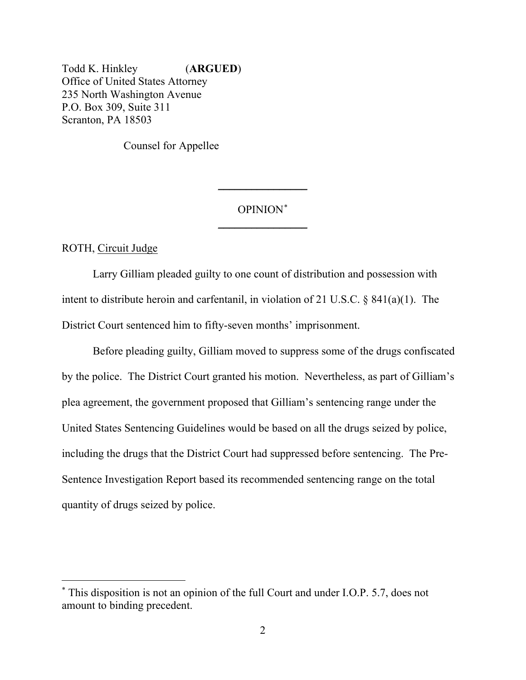Todd K. Hinkley (**ARGUED**) Office of United States Attorney 235 North Washington Avenue P.O. Box 309, Suite 311 Scranton, PA 18503

Counsel for Appellee

# OPINION\*  $\overline{\phantom{a}}$  , where  $\overline{\phantom{a}}$

\_\_\_\_\_\_\_\_\_\_\_\_\_\_\_\_

ROTH, Circuit Judge

Larry Gilliam pleaded guilty to one count of distribution and possession with intent to distribute heroin and carfentanil, in violation of 21 U.S.C. § 841(a)(1). The District Court sentenced him to fifty-seven months' imprisonment.

Before pleading guilty, Gilliam moved to suppress some of the drugs confiscated by the police. The District Court granted his motion. Nevertheless, as part of Gilliam's plea agreement, the government proposed that Gilliam's sentencing range under the United States Sentencing Guidelines would be based on all the drugs seized by police, including the drugs that the District Court had suppressed before sentencing. The Pre-Sentence Investigation Report based its recommended sentencing range on the total quantity of drugs seized by police.

<sup>\*</sup> This disposition is not an opinion of the full Court and under I.O.P. 5.7, does not amount to binding precedent.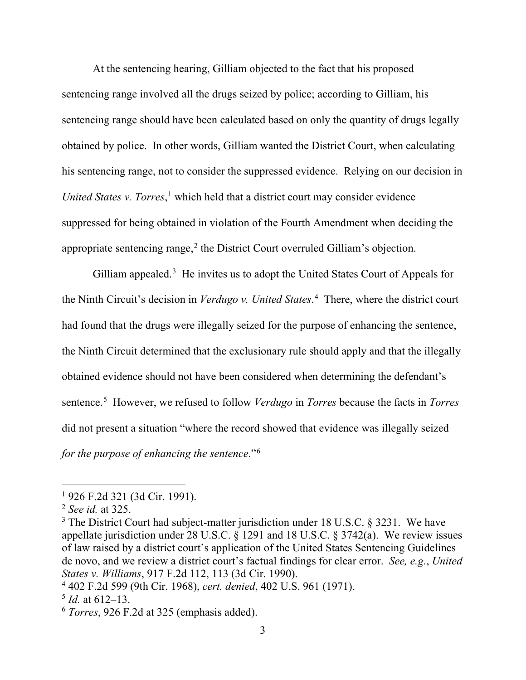At the sentencing hearing, Gilliam objected to the fact that his proposed sentencing range involved all the drugs seized by police; according to Gilliam, his sentencing range should have been calculated based on only the quantity of drugs legally obtained by police. In other words, Gilliam wanted the District Court, when calculating his sentencing range, not to consider the suppressed evidence. Relying on our decision in *United States v. Torres*, <sup>1</sup> which held that a district court may consider evidence suppressed for being obtained in violation of the Fourth Amendment when deciding the appropriate sentencing range, $2$  the District Court overruled Gilliam's objection.

Gilliam appealed.<sup>3</sup> He invites us to adopt the United States Court of Appeals for the Ninth Circuit's decision in *Verdugo v. United States*. 4 There, where the district court had found that the drugs were illegally seized for the purpose of enhancing the sentence, the Ninth Circuit determined that the exclusionary rule should apply and that the illegally obtained evidence should not have been considered when determining the defendant's sentence. 5 However, we refused to follow *Verdugo* in *Torres* because the facts in *Torres* did not present a situation "where the record showed that evidence was illegally seized *for the purpose of enhancing the sentence*."6

<sup>1</sup> 926 F.2d 321 (3d Cir. 1991).

<sup>2</sup> *See id.* at 325.

 $3$  The District Court had subject-matter jurisdiction under 18 U.S.C. § 3231. We have appellate jurisdiction under 28 U.S.C.  $\S$  1291 and 18 U.S.C.  $\S$  3742(a). We review issues of law raised by a district court's application of the United States Sentencing Guidelines de novo, and we review a district court's factual findings for clear error. *See, e.g.*, *United States v. Williams*, 917 F.2d 112, 113 (3d Cir. 1990).

<sup>4</sup> 402 F.2d 599 (9th Cir. 1968), *cert. denied*, 402 U.S. 961 (1971).

 $^5$  *Id.* at 612–13.

<sup>6</sup> *Torres*, 926 F.2d at 325 (emphasis added).